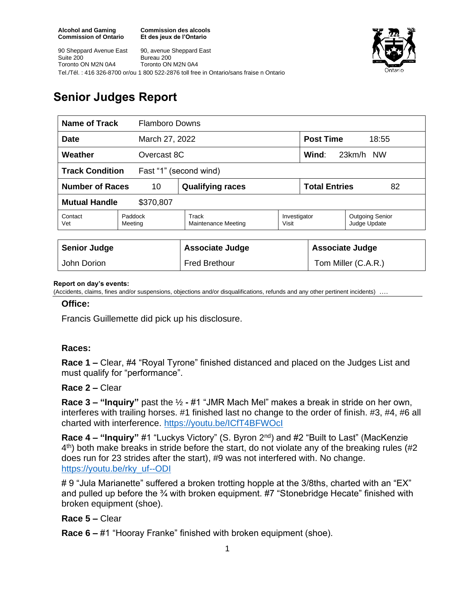**Commission des alcools Et des jeux de l'Ontario**



90 Sheppard Avenue East Suite 200 Toronto ON M2N 0A4 90, avenue Sheppard East Bureau 200 Toronto ON M2N 0A4 Tel./Tél. : 416 326-8700 or/ou 1 800 522-2876 toll free in Ontario/sans fraise n Ontario

# **Senior Judges Report**

| Name of Track<br><b>Flamboro Downs</b>           |                    |                              |                       |                              |                                        |
|--------------------------------------------------|--------------------|------------------------------|-----------------------|------------------------------|----------------------------------------|
| <b>Date</b><br>March 27, 2022                    |                    |                              |                       | <b>Post Time</b><br>18:55    |                                        |
| Weather<br>Overcast 8C                           |                    |                              |                       | Wind:<br>23km/h<br><b>NW</b> |                                        |
| <b>Track Condition</b><br>Fast "1" (second wind) |                    |                              |                       |                              |                                        |
| <b>Number of Races</b><br>10                     |                    | <b>Qualifying races</b>      |                       | <b>Total Entries</b><br>82   |                                        |
| <b>Mutual Handle</b><br>\$370,807                |                    |                              |                       |                              |                                        |
| Contact<br>Vet                                   | Paddock<br>Meeting | Track<br>Maintenance Meeting | Investigator<br>Visit |                              | <b>Outgoing Senior</b><br>Judge Update |
|                                                  |                    |                              |                       |                              |                                        |
| <b>Senior Judge</b>                              |                    | <b>Associate Judge</b>       |                       | <b>Associate Judge</b>       |                                        |
| John Dorion                                      |                    | <b>Fred Brethour</b>         |                       | Tom Miller (C.A.R.)          |                                        |

#### **Report on day's events:**

(Accidents, claims, fines and/or suspensions, objections and/or disqualifications, refunds and any other pertinent incidents) ….

#### **Office:**

Francis Guillemette did pick up his disclosure.

#### **Races:**

**Race 1 –** Clear, #4 "Royal Tyrone" finished distanced and placed on the Judges List and must qualify for "performance".

#### **Race 2 –** Clear

**Race 3 – "Inquiry"** past the ½ **-** #1 "JMR Mach Mel" makes a break in stride on her own, interferes with trailing horses. #1 finished last no change to the order of finish. #3, #4, #6 all charted with interference.<https://youtu.be/ICfT4BFWOcI>

**Race 4 – "Inquiry"** #1 "Luckys Victory" (S. Byron 2nd) and #2 "Built to Last" (MacKenzie 4<sup>th</sup>) both make breaks in stride before the start, do not violate any of the breaking rules (#2 does run for 23 strides after the start), #9 was not interfered with. No change. [https://youtu.be/rky\\_uf--ODI](https://youtu.be/rky_uf--ODI)

# 9 "Jula Marianette" suffered a broken trotting hopple at the 3/8ths, charted with an "EX" and pulled up before the <sup>3</sup>/<sub>4</sub> with broken equipment. #7 "Stonebridge Hecate" finished with broken equipment (shoe).

### **Race 5 –** Clear

**Race 6 –** #1 "Hooray Franke" finished with broken equipment (shoe).